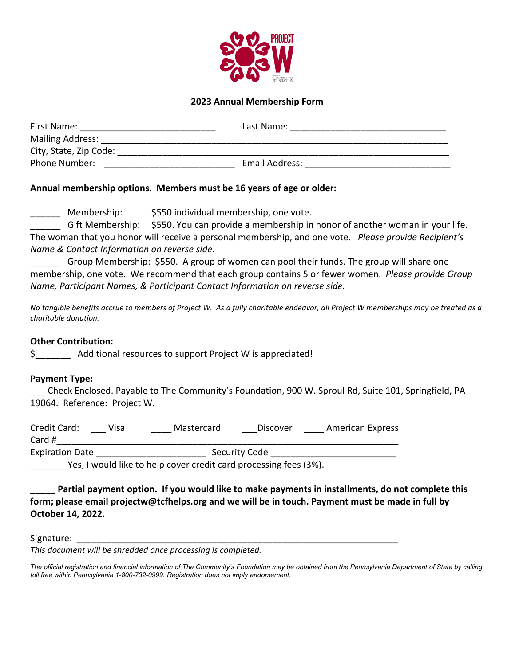

# **2023 Annual Membership Form**

| First Name:             | Last Name:     |  |
|-------------------------|----------------|--|
| <b>Mailing Address:</b> |                |  |
| City, State, Zip Code:  |                |  |
| Phone Number:           | Email Address: |  |

### **Annual membership options. Members must be 16 years of age or older:**

\_\_\_\_\_\_ Membership: \$550 individual membership, one vote.

Gift Membership: \$550. You can provide a membership in honor of another woman in your life. The woman that you honor will receive a personal membership, and one vote. *Please provide Recipient's Name & Contact Information on reverse side.*

\_\_\_\_\_\_ Group Membership: \$550. A group of women can pool their funds. The group will share one membership, one vote. We recommend that each group contains 5 or fewer women. *Please provide Group Name, Participant Names, & Participant Contact Information on reverse side.*

*No tangible benefits accrue to members of Project W. As a fully charitable endeavor, all Project W memberships may be treated as a charitable donation.*

## **Other Contribution:**

\$ Additional resources to support Project W is appreciated!

### **Payment Type:**

\_\_\_ Check Enclosed. Payable to The Community's Foundation, 900 W. Sproul Rd, Suite 101, Springfield, PA 19064. Reference: Project W.

| Credit Card:           | Visa | Mastercard | Discover      | American Express |
|------------------------|------|------------|---------------|------------------|
| Card #                 |      |            |               |                  |
| <b>Expiration Date</b> |      |            | Security Code |                  |
|                        |      |            |               |                  |

Yes, I would like to help cover credit card processing fees (3%).

**\_\_\_\_\_ Partial payment option. If you would like to make payments in installments, do not complete this form; please email projectw@tcfhelps.org and we will be in touch. Payment must be made in full by October 14, 2022.**

### Signature:

*This document will be shredded once processing is completed.*

The official registration and financial information of The Community's Foundation may be obtained from the Pennsylvania Department of State by calling *toll free within Pennsylvania 1-800-732-0999. Registration does not imply endorsement.*